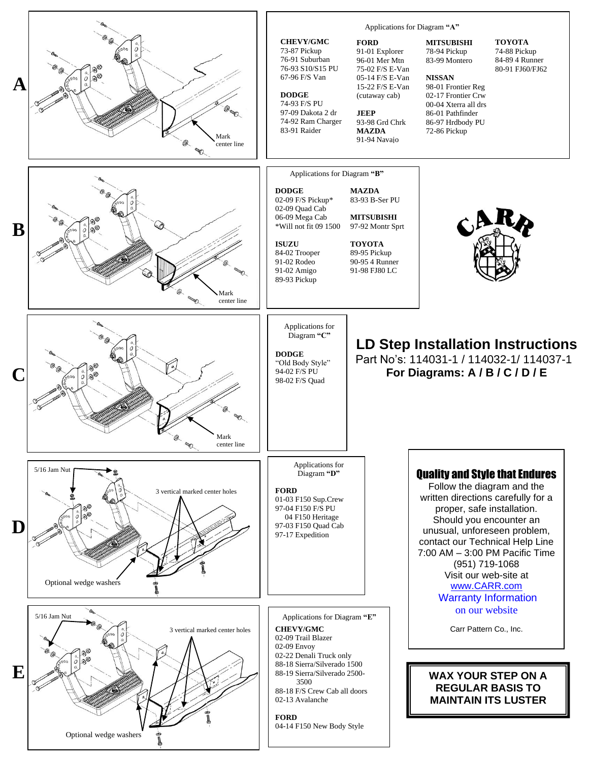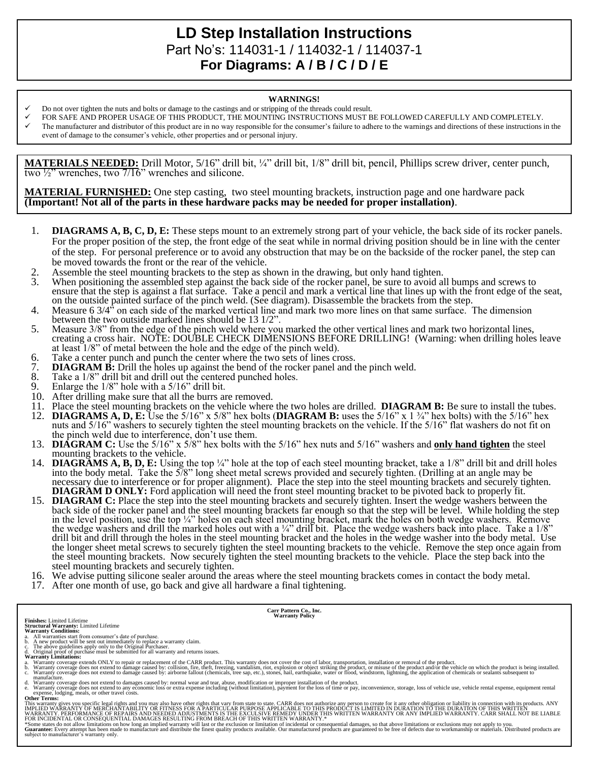# **LD Step Installation Instructions**  Part No's: 114031-1 / 114032-1 / 114037-1 **For Diagrams: A / B / C / D / E**

#### **WARNINGS!**

- Do not over tighten the nuts and bolts or damage to the castings and or stripping of the threads could result.
- FOR SAFE AND PROPER USAGE OF THIS PRODUCT, THE MOUNTING INSTRUCTIONS MUST BE FOLLOWED CAREFULLY AND COMPLETELY.
- The manufacturer and distributor of this product are in no way responsible for the consumer's failure to adhere to the warnings and directions of these instructions in the event of damage to the consumer's vehicle, other properties and or personal injury.

**MATERIALS NEEDED:** Drill Motor, 5/16" drill bit, ¼" drill bit, 1/8" drill bit, pencil, Phillips screw driver, center punch, two ½" wrenches, two 7/16" wrenches and silicone.

**MATERIAL FURNISHED:** One step casting, two steel mounting brackets, instruction page and one hardware pack **(Important! Not all of the parts in these hardware packs may be needed for proper installation)**.

- 1. **DIAGRAMS A, B, C, D, E:** These steps mount to an extremely strong part of your vehicle, the back side of its rocker panels. For the proper position of the step, the front edge of the seat while in normal driving position should be in line with the center of the step. For personal preference or to avoid any obstruction that may be on the backside of the rocker panel, the step can be moved towards the front or the rear of the vehicle.
- 
- 2. Assemble the steel mounting brackets to the step as shown in the drawing, but only hand tighten.<br>3. When positioning the assembled step against the back side of the rocker panel, be sure to avoid a When positioning the assembled step against the back side of the rocker panel, be sure to avoid all bumps and screws to ensure that the step is against a flat surface. Take a pencil and mark a vertical line that lines up with the front edge of the seat, on the outside painted surface of the pinch weld. (See diagram). Disassemble the brackets from the step.
- 4. Measure 6 3/4" on each side of the marked vertical line and mark two more lines on that same surface. The dimension between the two outside marked lines should be 13 1/2".
- 5. Measure 3/8" from the edge of the pinch weld where you marked the other vertical lines and mark two horizontal lines, creating a cross hair. NOTE: DOUBLE CHECK DIMENSIONS BEFORE DRILLING! (Warning: when drilling holes leave at least 1/8" of metal between the hole and the edge of the pinch weld).
- 6. Take a center punch and punch the center where the two sets of lines cross.<br>7. **DIAGRAM B:** Drill the holes up against the bend of the rocker panel and t
- 7. **DIAGRAM B:** Drill the holes up against the bend of the rocker panel and the pinch weld.<br>8. Take a 1/8" drill bit and drill out the centered punched holes.
- 8. Take a  $1/8$ " drill bit and drill out the centered punched holes.<br>9. Enlarge the  $1/8$ " hole with a  $5/16$ " drill bit.
- Enlarge the  $1/8$ " hole with a  $5/16$ " drill bit.
- 10. After drilling make sure that all the burrs are removed.
- 11. Place the steel mounting brackets on the vehicle where the two holes are drilled. **DIAGRAM B:** Be sure to install the tubes.<br>12. **DIAGRAMS A. D. E:** Use the 5/16" x 5/8" hex bolts (**DIAGRAM B:** uses the 5/16" x 1 3/4"
- 12. **DIAGRAMS A, D, E:** Use the 5/16" x 5/8" hex bolts (**DIAGRAM B:** uses the 5/16" x 1 ¾" hex bolts) with the 5/16" hex nuts and 5/16" washers to securely tighten the steel mounting brackets on the vehicle. If the 5/16" flat washers do not fit on the pinch weld due to interference, don't use them.
- 13. **DIAGRAM C:** Use the 5/16" x 5/8" hex bolts with the 5/16" hex nuts and 5/16" washers and **only hand tighten** the steel mounting brackets to the vehicle.
- 14. **DIAGRAMS A, B, D, E:** Using the top ¼" hole at the top of each steel mounting bracket, take a 1/8" drill bit and drill holes into the body metal. Take the 5/8" long sheet metal screws provided and securely tighten. (Drilling at an angle may be necessary due to interference or for proper alignment). Place the step into the steel mounting brackets and securely tighten. **DIAGRAM D ONLY:** Ford application will need the front steel mounting bracket to be pivoted back to properly fit.
- 15. **DIAGRAM C:** Place the step into the steel mounting brackets and securely tighten. Insert the wedge washers between the back side of the rocker panel and the steel mounting brackets far enough so that the step will be level. While holding the step in the level position, use the top ¼" holes on each steel mounting bracket, mark the holes on both wedge washers. Remove the wedge washers and drill the marked holes out with a  $\frac{1}{4}$ " drill bit. Place the wedge washers back into place. Take a  $\frac{1}{8}$ " drill bit and drill through the holes in the steel mounting bracket and the holes in the wedge washer into the body metal. Use the longer sheet metal screws to securely tighten the steel mounting brackets to the vehicle. Remove the step once again from the steel mounting brackets. Now securely tighten the steel mounting brackets to the vehicle. Place the step back into the steel mounting brackets and securely tighten.
- 16. We advise putting silicone sealer around the areas where the steel mounting brackets comes in contact the body metal.
- 17. After one month of use, go back and give all hardware a final tightening.

- 
- 
- **Finishes:** Limited Lifetime<br>**Structural Warranty:** Limited Lifetime<br>**Warranty Conditions:**<br>**Warranty Conditions:**<br>b. A new product will be sent out immediately to replace a warranty claim.<br>b. A new product will be sent ou
- 

a. Warranty coverage extends ONLY to repair or replacement of the CARR product. This warranty does not cover the cost of labor, transportation, installation or removal of the product.<br>b. Warranty coverage does not extend t

**Carr Pattern Co., Inc. Warranty Policy**

manufacture.<br>
A Warranty coverage does not extend to damages caused by: normal wear and tear, abuse, modification or improper installation of the product.<br>
A Warranty coverage does not extend to any economic loss or extra

**Other Terms:**

This warranty gives you specific legal rights and you may also have other rights that vary from state to state. CARR does not authorize any person to create for it any other obligation or liability in connection with its p

\*Some states do not allow limitations on how long an implied warranty will last or the exclusion or limitation of incidental or consequential damages, so that above limitations or exclusions may not apply to you.<br>Guarantee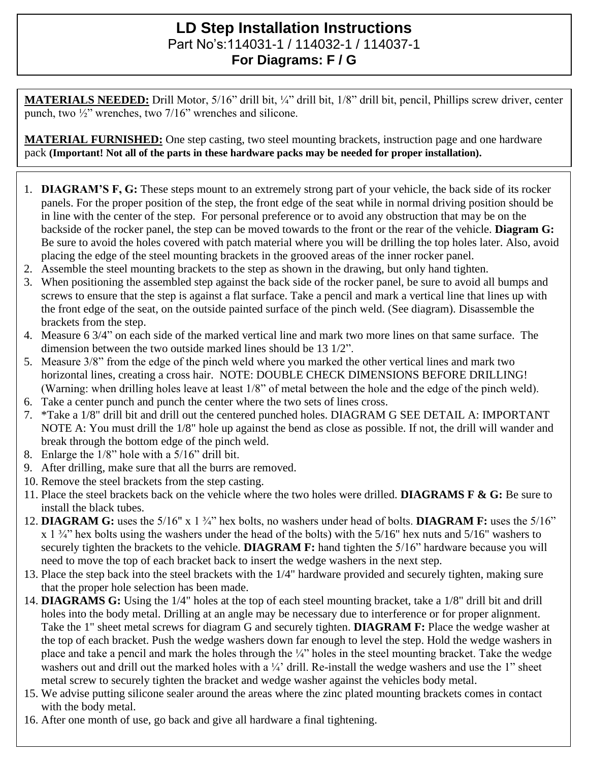## **LD Step Installation Instructions**  Part No's:114031-1 / 114032-1 / 114037-1 **For Diagrams: F / G**

**MATERIALS NEEDED:** Drill Motor, 5/16" drill bit, ¼" drill bit, 1/8" drill bit, pencil, Phillips screw driver, center punch, two  $\frac{1}{2}$ " wrenches, two 7/16" wrenches and silicone.

**MATERIAL FURNISHED:** One step casting, two steel mounting brackets, instruction page and one hardware pack **(Important! Not all of the parts in these hardware packs may be needed for proper installation).**

- 1. **DIAGRAM'S F, G:** These steps mount to an extremely strong part of your vehicle, the back side of its rocker panels. For the proper position of the step, the front edge of the seat while in normal driving position should be in line with the center of the step. For personal preference or to avoid any obstruction that may be on the backside of the rocker panel, the step can be moved towards to the front or the rear of the vehicle. **Diagram G:** Be sure to avoid the holes covered with patch material where you will be drilling the top holes later. Also, avoid placing the edge of the steel mounting brackets in the grooved areas of the inner rocker panel.
- 2. Assemble the steel mounting brackets to the step as shown in the drawing, but only hand tighten.
- 3. When positioning the assembled step against the back side of the rocker panel, be sure to avoid all bumps and screws to ensure that the step is against a flat surface. Take a pencil and mark a vertical line that lines up with the front edge of the seat, on the outside painted surface of the pinch weld. (See diagram). Disassemble the brackets from the step.
- 4. Measure 6 3/4" on each side of the marked vertical line and mark two more lines on that same surface. The dimension between the two outside marked lines should be 13 1/2".
- 5. Measure 3/8" from the edge of the pinch weld where you marked the other vertical lines and mark two horizontal lines, creating a cross hair. NOTE: DOUBLE CHECK DIMENSIONS BEFORE DRILLING! (Warning: when drilling holes leave at least 1/8" of metal between the hole and the edge of the pinch weld).
- 6. Take a center punch and punch the center where the two sets of lines cross.
- 7. \*Take a 1/8" drill bit and drill out the centered punched holes. DIAGRAM G SEE DETAIL A: IMPORTANT NOTE A: You must drill the 1/8" hole up against the bend as close as possible. If not, the drill will wander and break through the bottom edge of the pinch weld.
- 8. Enlarge the 1/8" hole with a 5/16" drill bit.
- 9. After drilling, make sure that all the burrs are removed.
- 10. Remove the steel brackets from the step casting.
- 11. Place the steel brackets back on the vehicle where the two holes were drilled. **DIAGRAMS F & G:** Be sure to install the black tubes.
- 12. **DIAGRAM G:** uses the 5/16" x 1 ¾" hex bolts, no washers under head of bolts. **DIAGRAM F:** uses the 5/16"  $x$  1  $\frac{3}{4}$ " hex bolts using the washers under the head of the bolts) with the 5/16" hex nuts and 5/16" washers to securely tighten the brackets to the vehicle. **DIAGRAM F:** hand tighten the 5/16" hardware because you will need to move the top of each bracket back to insert the wedge washers in the next step.
- 13. Place the step back into the steel brackets with the 1/4" hardware provided and securely tighten, making sure that the proper hole selection has been made.
- 14. **DIAGRAMS G:** Using the 1/4" holes at the top of each steel mounting bracket, take a 1/8" drill bit and drill holes into the body metal. Drilling at an angle may be necessary due to interference or for proper alignment. Take the 1" sheet metal screws for diagram G and securely tighten. **DIAGRAM F:** Place the wedge washer at the top of each bracket. Push the wedge washers down far enough to level the step. Hold the wedge washers in place and take a pencil and mark the holes through the ¼" holes in the steel mounting bracket. Take the wedge washers out and drill out the marked holes with a  $\frac{1}{4}$  drill. Re-install the wedge washers and use the 1" sheet metal screw to securely tighten the bracket and wedge washer against the vehicles body metal.
- 15. We advise putting silicone sealer around the areas where the zinc plated mounting brackets comes in contact with the body metal.
- 16. After one month of use, go back and give all hardware a final tightening.